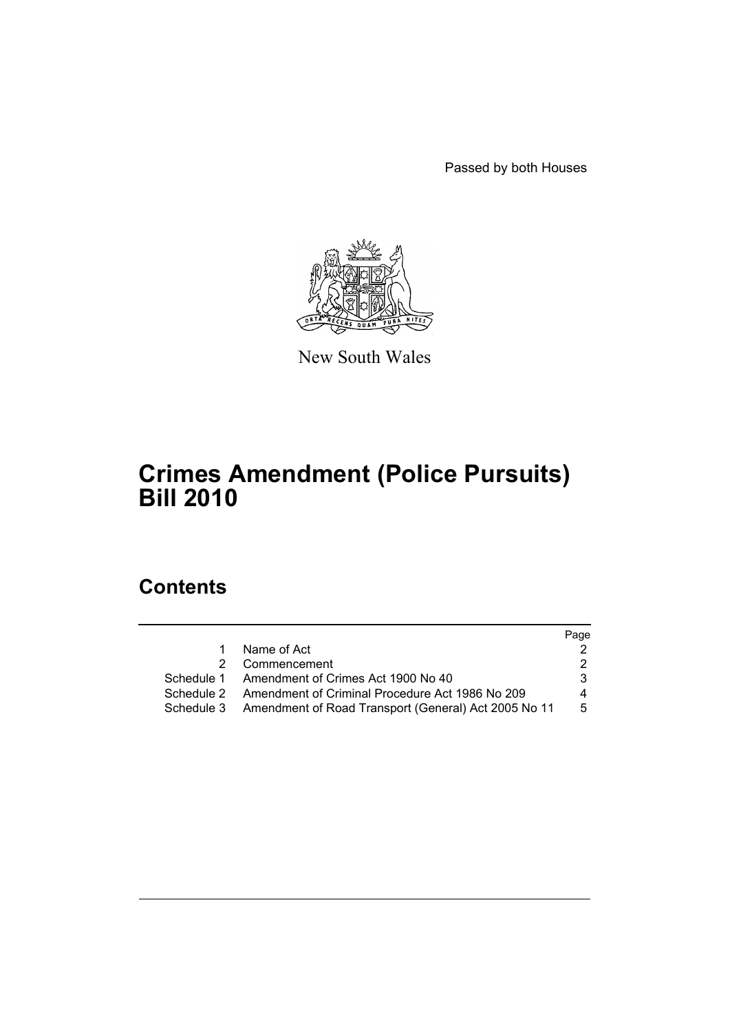Passed by both Houses



New South Wales

# **Crimes Amendment (Police Pursuits) Bill 2010**

## **Contents**

|            |                                                                 | Page |
|------------|-----------------------------------------------------------------|------|
| 1.         | Name of Act                                                     |      |
|            | 2 Commencement                                                  | 2.   |
|            | Schedule 1 Amendment of Crimes Act 1900 No 40                   | 3.   |
| Schedule 2 | Amendment of Criminal Procedure Act 1986 No 209                 | 4    |
|            | Schedule 3 Amendment of Road Transport (General) Act 2005 No 11 | 5    |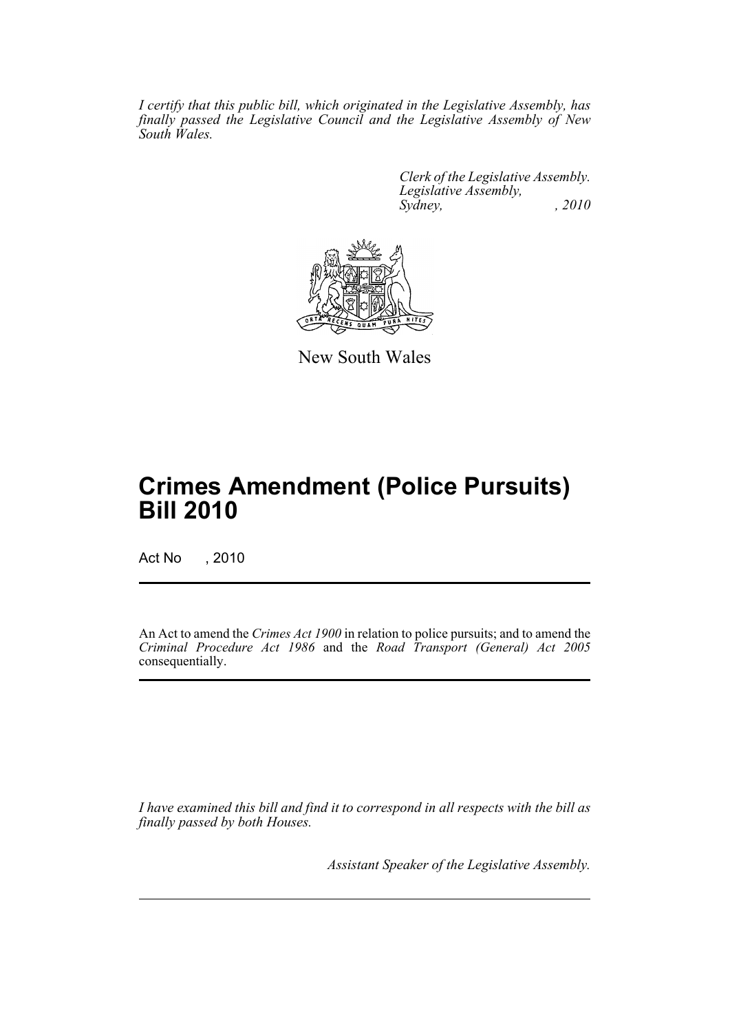*I certify that this public bill, which originated in the Legislative Assembly, has finally passed the Legislative Council and the Legislative Assembly of New South Wales.*

> *Clerk of the Legislative Assembly. Legislative Assembly, Sydney, , 2010*



New South Wales

# **Crimes Amendment (Police Pursuits) Bill 2010**

Act No , 2010

An Act to amend the *Crimes Act 1900* in relation to police pursuits; and to amend the *Criminal Procedure Act 1986* and the *Road Transport (General) Act 2005* consequentially.

*I have examined this bill and find it to correspond in all respects with the bill as finally passed by both Houses.*

*Assistant Speaker of the Legislative Assembly.*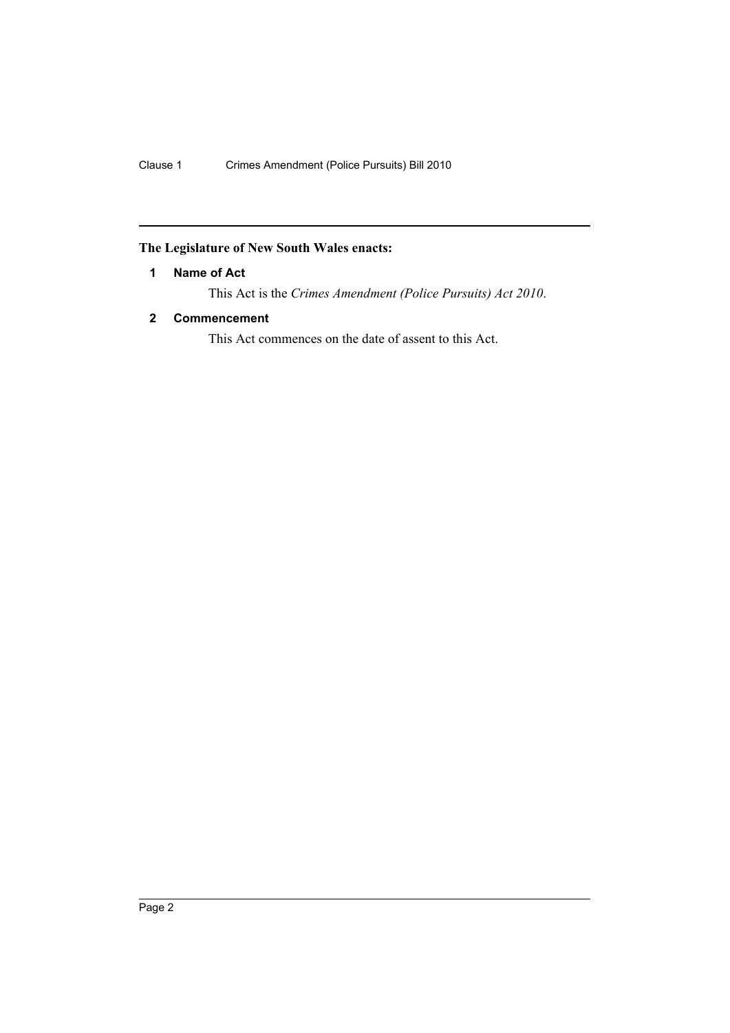### <span id="page-3-0"></span>**The Legislature of New South Wales enacts:**

#### **1 Name of Act**

This Act is the *Crimes Amendment (Police Pursuits) Act 2010*.

#### <span id="page-3-1"></span>**2 Commencement**

This Act commences on the date of assent to this Act.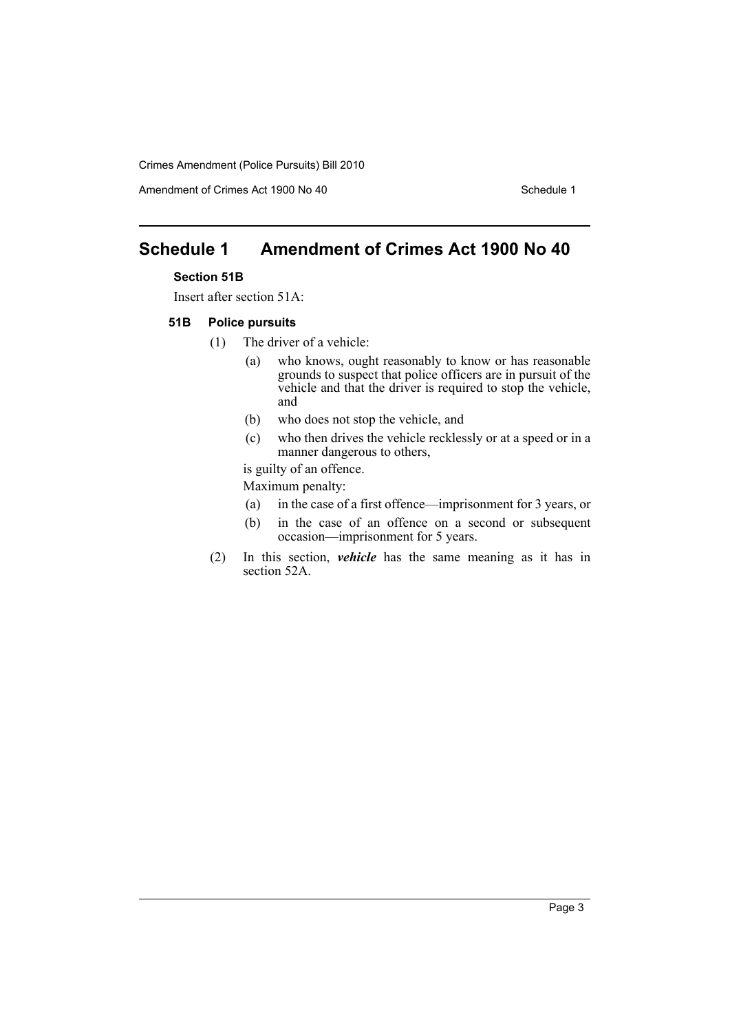Crimes Amendment (Police Pursuits) Bill 2010

Amendment of Crimes Act 1900 No 40 Schedule 1

## <span id="page-4-0"></span>**Schedule 1 Amendment of Crimes Act 1900 No 40**

#### **Section 51B**

Insert after section 51A:

#### **51B Police pursuits**

- (1) The driver of a vehicle:
	- (a) who knows, ought reasonably to know or has reasonable grounds to suspect that police officers are in pursuit of the vehicle and that the driver is required to stop the vehicle, and
	- (b) who does not stop the vehicle, and
	- (c) who then drives the vehicle recklessly or at a speed or in a manner dangerous to others,

is guilty of an offence.

Maximum penalty:

- (a) in the case of a first offence—imprisonment for 3 years, or
- (b) in the case of an offence on a second or subsequent occasion—imprisonment for 5 years.
- (2) In this section, *vehicle* has the same meaning as it has in section 52A.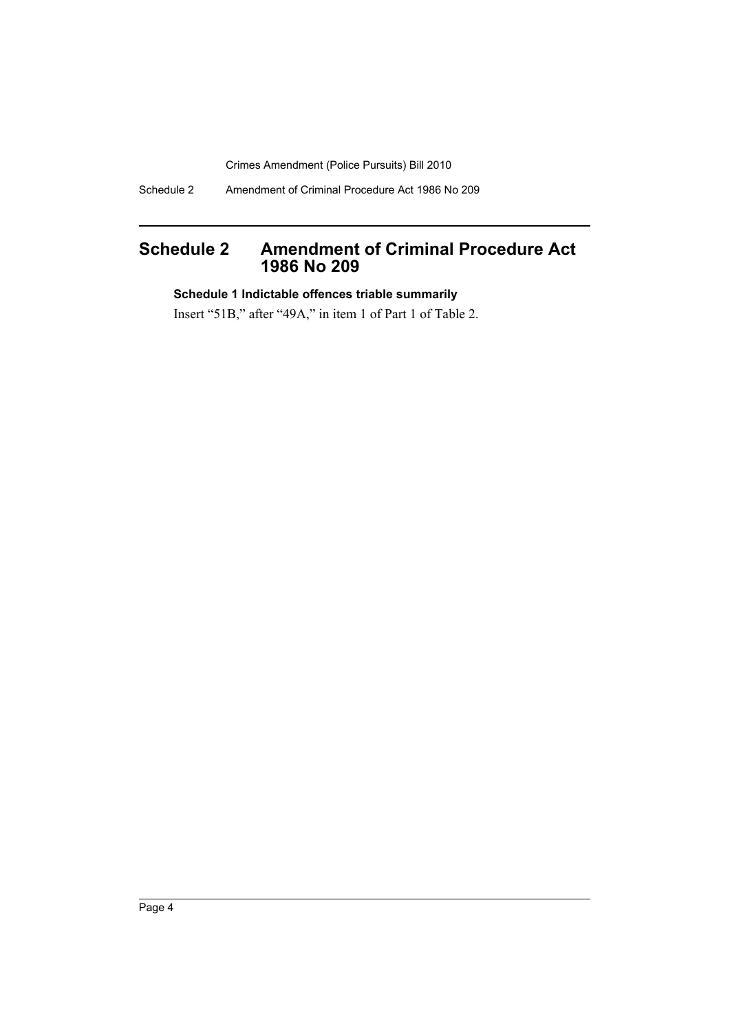Crimes Amendment (Police Pursuits) Bill 2010

Schedule 2 Amendment of Criminal Procedure Act 1986 No 209

## <span id="page-5-0"></span>**Schedule 2 Amendment of Criminal Procedure Act 1986 No 209**

#### **Schedule 1 Indictable offences triable summarily**

Insert "51B," after "49A," in item 1 of Part 1 of Table 2.